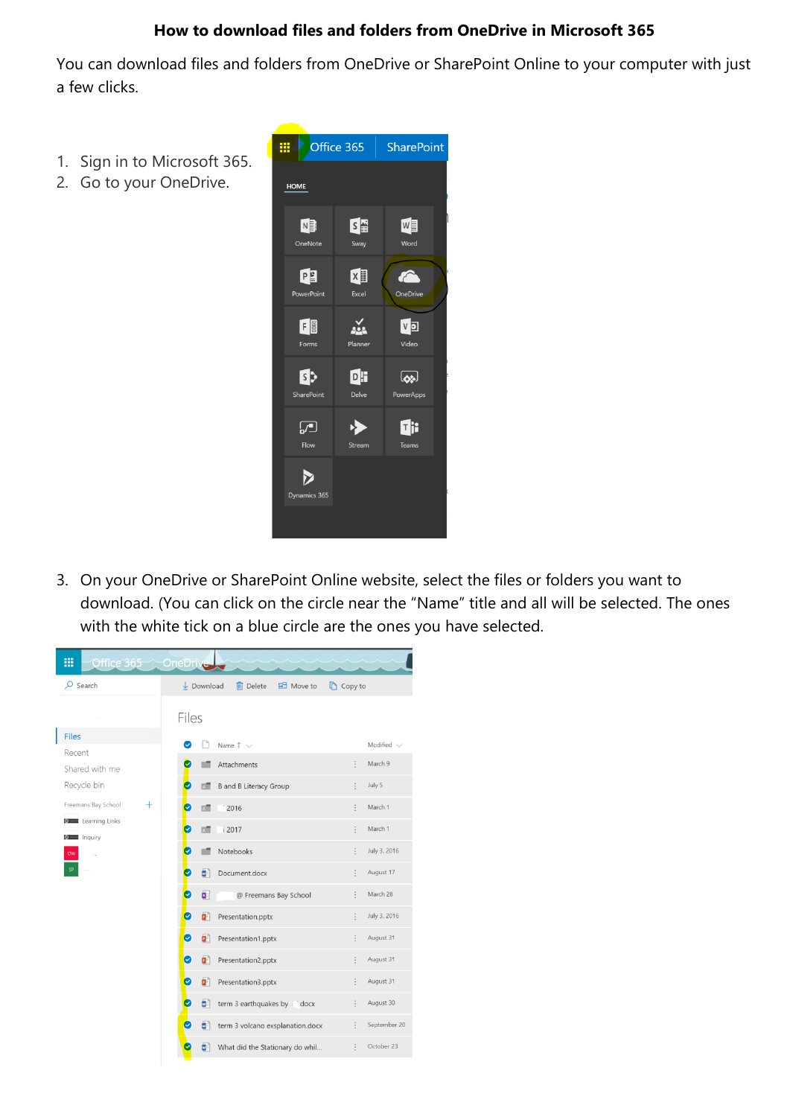## **How to download files and folders from OneDrive in Microsoft 365**

You can download files and folders from OneDrive or SharePoint Online to your computer with just a few clicks.

- 1. Sign in to Microsoft 365.
- 2. Go to your OneDrive.



3. On your OneDrive or SharePoint Online website, select the files or folders you want to download. (You can click on the circle near the "Name" title and all will be selected. The ones with the white tick on a blue circle are the ones you have selected.

| ₩<br>Office 365 OneDrive      |                                                                                     |                 |
|-------------------------------|-------------------------------------------------------------------------------------|-----------------|
| $\mathcal{P}$ Search          | <b>In</b> Delete<br>B Move to<br>$\overline{\downarrow}$ Download<br><b>Copy to</b> |                 |
|                               | Files                                                                               |                 |
| <b>Files</b>                  | Ø<br>Name $\uparrow \vee$                                                           | Modified $\vee$ |
| Recent                        | Attachments<br>$\ddot{\cdot}$                                                       | March 9         |
| Shared with me<br>Recycle bin | v<br><b>B</b> and <b>B</b> Literacy Group                                           | July 5          |
| $\pm$<br>Freemans Bay School  | V<br>2016<br>пŒ                                                                     | March 1         |
| <b>Steel</b> Learning Links   | V<br><b>RT</b><br>i 2017                                                            | March 1         |
| <b>Some Inquiry</b><br>OW     | Notebooks<br>c                                                                      | July 3, 2016    |
| SP                            | Ø<br>Document.docx<br>a,                                                            | August 17       |
|                               | O<br>a  <br>@ Freemans Bay School                                                   | March 28        |
|                               | Ø<br>ď<br>Presentation.pptx                                                         | July 3, 2016    |
|                               | Ø<br>ď.<br>Presentation1.pptx                                                       | August 31       |
|                               | Ø<br>ē.<br>Presentation2.pptx                                                       | August 31       |
|                               | Ø<br>ď<br>Presentation3.pptx                                                        | August 31       |
|                               | term 3 earthquakes by indocx<br>ø                                                   | August 30       |
|                               | Ø<br>term 3 volcano exsplanation.docx<br>ø                                          | September 20    |
|                               | What did the Stationary do whil<br>⊡                                                | October 23      |
|                               |                                                                                     |                 |